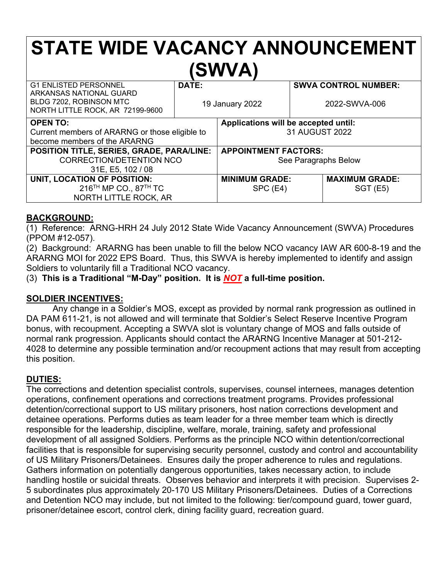# **STATE WIDE VACANCY ANNOUNCEMENT (SWVA)**

| <b>G1 ENLISTED PERSONNEL</b><br>ARKANSAS NATIONAL GUARD<br>BLDG 7202, ROBINSON MTC<br>NORTH LITTLE ROCK, AR 72199-9600 | DATE:<br>19 January 2022 |                                                        | <b>SWVA CONTROL NUMBER:</b><br>2022-SWVA-006 |                                  |
|------------------------------------------------------------------------------------------------------------------------|--------------------------|--------------------------------------------------------|----------------------------------------------|----------------------------------|
| <b>OPEN TO:</b><br>Current members of ARARNG or those eligible to<br>become members of the ARARNG                      |                          | Applications will be accepted until:<br>31 AUGUST 2022 |                                              |                                  |
| POSITION TITLE, SERIES, GRADE, PARA/LINE:<br>CORRECTION/DETENTION NCO<br>31E, E5, 102 / 08                             |                          | <b>APPOINTMENT FACTORS:</b><br>See Paragraphs Below    |                                              |                                  |
| UNIT, LOCATION OF POSITION:<br>216 <sup>TH</sup> MP CO., 87 <sup>TH</sup> TC<br><b>NORTH LITTLE ROCK, AR</b>           |                          | <b>MINIMUM GRADE:</b><br>SPC (E4)                      |                                              | <b>MAXIMUM GRADE:</b><br>SGT(E5) |

## **BACKGROUND:**

(1) Reference: ARNG-HRH 24 July 2012 State Wide Vacancy Announcement (SWVA) Procedures (PPOM #12-057).

(2) Background: ARARNG has been unable to fill the below NCO vacancy IAW AR 600-8-19 and the ARARNG MOI for 2022 EPS Board. Thus, this SWVA is hereby implemented to identify and assign Soldiers to voluntarily fill a Traditional NCO vacancy.

(3) **This is a Traditional "M-Day" position. It is** *NOT* **a full-time position.**

## **SOLDIER INCENTIVES:**

Any change in a Soldier's MOS, except as provided by normal rank progression as outlined in DA PAM 611-21, is not allowed and will terminate that Soldier's Select Reserve Incentive Program bonus, with recoupment. Accepting a SWVA slot is voluntary change of MOS and falls outside of normal rank progression. Applicants should contact the ARARNG Incentive Manager at 501-212- 4028 to determine any possible termination and/or recoupment actions that may result from accepting this position.

## **DUTIES:**

The corrections and detention specialist controls, supervises, counsel internees, manages detention operations, confinement operations and corrections treatment programs. Provides professional detention/correctional support to US military prisoners, host nation corrections development and detainee operations. Performs duties as team leader for a three member team which is directly responsible for the leadership, discipline, welfare, morale, training, safety and professional development of all assigned Soldiers. Performs as the principle NCO within detention/correctional facilities that is responsible for supervising security personnel, custody and control and accountability of US Military Prisoners/Detainees. Ensures daily the proper adherence to rules and regulations. Gathers information on potentially dangerous opportunities, takes necessary action, to include handling hostile or suicidal threats. Observes behavior and interprets it with precision. Supervises 2- 5 subordinates plus approximately 20-170 US Military Prisoners/Detainees. Duties of a Corrections and Detention NCO may include, but not limited to the following: tier/compound guard, tower guard, prisoner/detainee escort, control clerk, dining facility guard, recreation guard.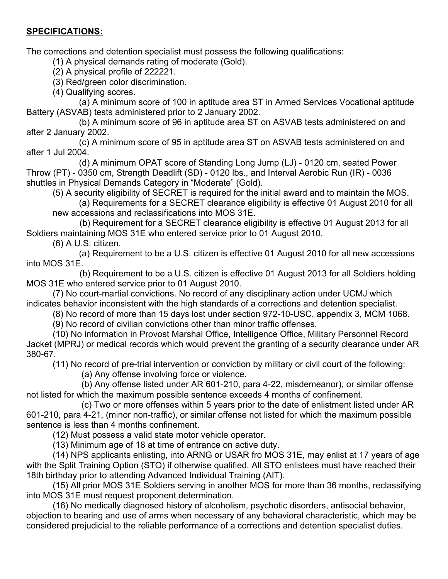## **SPECIFICATIONS:**

The corrections and detention specialist must possess the following qualifications:

(1) A physical demands rating of moderate (Gold).

(2) A physical profile of 222221.

(3) Red/green color discrimination.

(4) Qualifying scores.

(a) A minimum score of 100 in aptitude area ST in Armed Services Vocational aptitude Battery (ASVAB) tests administered prior to 2 January 2002.

(b) A minimum score of 96 in aptitude area ST on ASVAB tests administered on and after 2 January 2002.

(c) A minimum score of 95 in aptitude area ST on ASVAB tests administered on and after 1 Jul 2004.

(d) A minimum OPAT score of Standing Long Jump (LJ) - 0120 cm, seated Power Throw (PT) - 0350 cm, Strength Deadlift (SD) - 0120 lbs., and Interval Aerobic Run (IR) - 0036 shuttles in Physical Demands Category in "Moderate" (Gold).

(5) A security eligibility of SECRET is required for the initial award and to maintain the MOS.

(a) Requirements for a SECRET clearance eligibility is effective 01 August 2010 for all new accessions and reclassifications into MOS 31E.

 (b) Requirement for a SECRET clearance eligibility is effective 01 August 2013 for all Soldiers maintaining MOS 31E who entered service prior to 01 August 2010.

(6) A U.S. citizen.

(a) Requirement to be a U.S. citizen is effective 01 August 2010 for all new accessions into MOS 31E.

 (b) Requirement to be a U.S. citizen is effective 01 August 2013 for all Soldiers holding MOS 31E who entered service prior to 01 August 2010.

(7) No court-martial convictions. No record of any disciplinary action under UCMJ which indicates behavior inconsistent with the high standards of a corrections and detention specialist.

(8) No record of more than 15 days lost under section 972-10-USC, appendix 3, MCM 1068.

(9) No record of civilian convictions other than minor traffic offenses.

(10) No information in Provost Marshal Office, Intelligence Office, Military Personnel Record Jacket (MPRJ) or medical records which would prevent the granting of a security clearance under AR 380-67.

(11) No record of pre-trial intervention or conviction by military or civil court of the following:

(a) Any offense involving force or violence.

(b) Any offense listed under AR 601-210, para 4-22, misdemeanor), or similar offense not listed for which the maximum possible sentence exceeds 4 months of confinement.

(c) Two or more offenses within 5 years prior to the date of enlistment listed under AR 601-210, para 4-21, (minor non-traffic), or similar offense not listed for which the maximum possible sentence is less than 4 months confinement.

(12) Must possess a valid state motor vehicle operator.

(13) Minimum age of 18 at time of entrance on active duty.

(14) NPS applicants enlisting, into ARNG or USAR fro MOS 31E, may enlist at 17 years of age with the Split Training Option (STO) if otherwise qualified. All STO enlistees must have reached their 18th birthday prior to attending Advanced Individual Training (AIT).

(15) All prior MOS 31E Soldiers serving in another MOS for more than 36 months, reclassifying into MOS 31E must request proponent determination.

(16) No medically diagnosed history of alcoholism, psychotic disorders, antisocial behavior, objection to bearing and use of arms when necessary of any behavioral characteristic, which may be considered prejudicial to the reliable performance of a corrections and detention specialist duties.